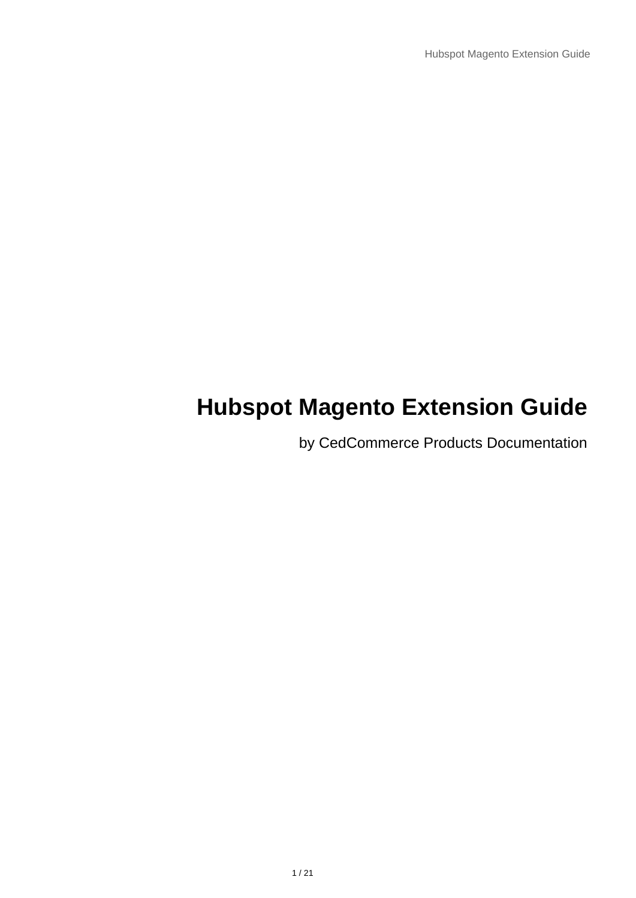# **Hubspot Magento Extension Guide**

by CedCommerce Products Documentation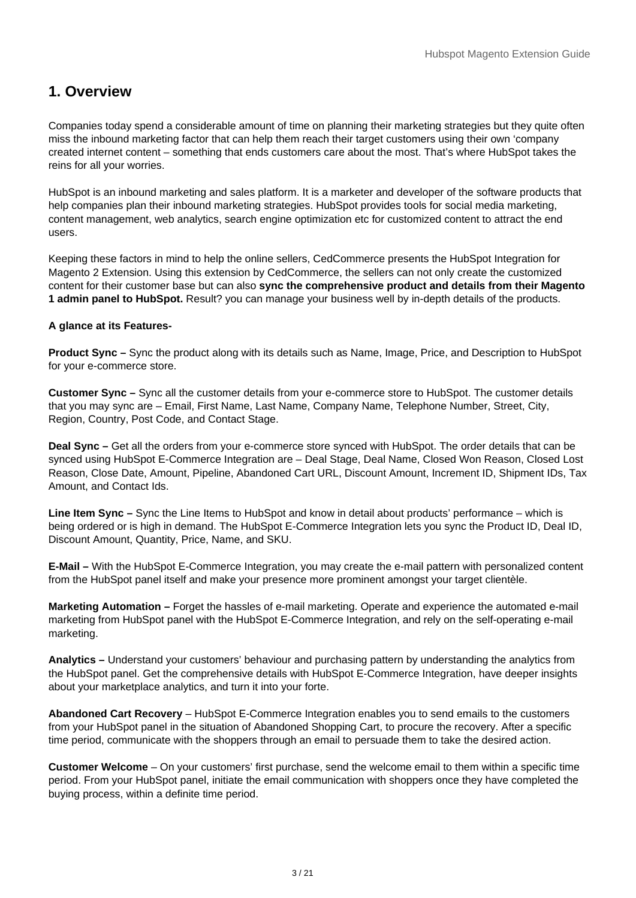# <span id="page-2-0"></span>**1. Overview**

Companies today spend a considerable amount of time on planning their marketing strategies but they quite often miss the inbound marketing factor that can help them reach their target customers using their own 'company created internet content – something that ends customers care about the most. That's where HubSpot takes the reins for all your worries.

HubSpot is an inbound marketing and sales platform. It is a marketer and developer of the software products that help companies plan their inbound marketing strategies. HubSpot provides tools for social media marketing, content management, web analytics, search engine optimization etc for customized content to attract the end users.

Keeping these factors in mind to help the online sellers, CedCommerce presents the HubSpot Integration for Magento 2 Extension. Using this extension by CedCommerce, the sellers can not only create the customized content for their customer base but can also **sync the comprehensive product and details from their Magento 1 admin panel to HubSpot.** Result? you can manage your business well by in-depth details of the products.

#### **A glance at its Features-**

**Product Sync –** Sync the product along with its details such as Name, Image, Price, and Description to HubSpot for your e-commerce store.

**Customer Sync –** Sync all the customer details from your e-commerce store to HubSpot. The customer details that you may sync are – Email, First Name, Last Name, Company Name, Telephone Number, Street, City, Region, Country, Post Code, and Contact Stage.

**Deal Sync –** Get all the orders from your e-commerce store synced with HubSpot. The order details that can be synced using HubSpot E-Commerce Integration are – Deal Stage, Deal Name, Closed Won Reason, Closed Lost Reason, Close Date, Amount, Pipeline, Abandoned Cart URL, Discount Amount, Increment ID, Shipment IDs, Tax Amount, and Contact Ids.

**Line Item Sync –** Sync the Line Items to HubSpot and know in detail about products' performance – which is being ordered or is high in demand. The HubSpot E-Commerce Integration lets you sync the Product ID, Deal ID, Discount Amount, Quantity, Price, Name, and SKU.

**E-Mail –** With the HubSpot E-Commerce Integration, you may create the e-mail pattern with personalized content from the HubSpot panel itself and make your presence more prominent amongst your target clientèle.

**Marketing Automation –** Forget the hassles of e-mail marketing. Operate and experience the automated e-mail marketing from HubSpot panel with the HubSpot E-Commerce Integration, and rely on the self-operating e-mail marketing.

**Analytics –** Understand your customers' behaviour and purchasing pattern by understanding the analytics from the HubSpot panel. Get the comprehensive details with HubSpot E-Commerce Integration, have deeper insights about your marketplace analytics, and turn it into your forte.

**Abandoned Cart Recovery** – HubSpot E-Commerce Integration enables you to send emails to the customers from your HubSpot panel in the situation of Abandoned Shopping Cart, to procure the recovery. After a specific time period, communicate with the shoppers through an email to persuade them to take the desired action.

**Customer Welcome** – On your customers' first purchase, send the welcome email to them within a specific time period. From your HubSpot panel, initiate the email communication with shoppers once they have completed the buying process, within a definite time period.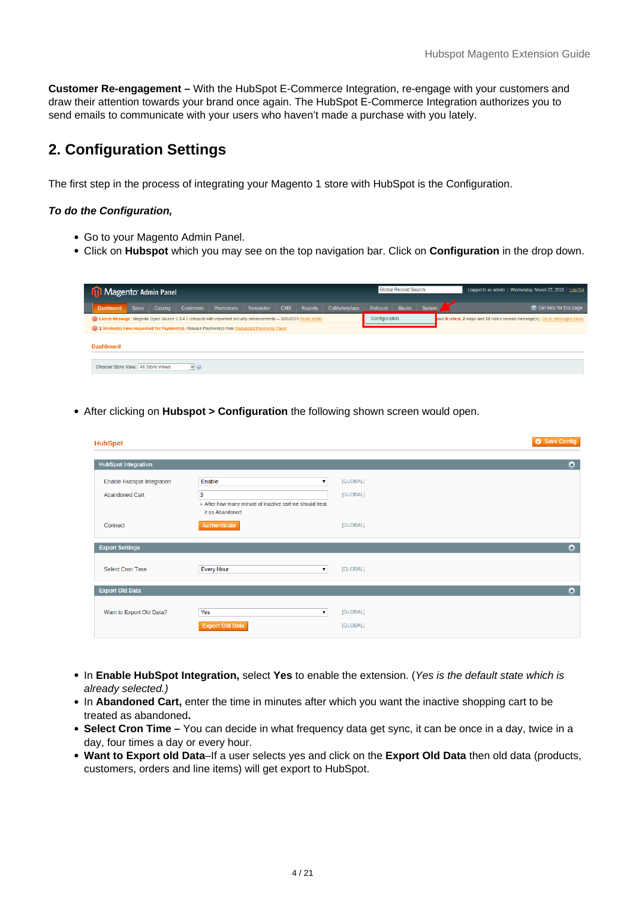<span id="page-3-0"></span>**Customer Re-engagement –** With the HubSpot E-Commerce Integration, re-engage with your customers and draw their attention towards your brand once again. The HubSpot E-Commerce Integration authorizes you to send emails to communicate with your users who haven't made a purchase with you lately.

# **2. Configuration Settings**

The first step in the process of integrating your Magento 1 store with HubSpot is the Configuration.

#### **To do the Configuration,**

- Go to your Magento Admin Panel.
- Click on **Hubspot** which you may see on the top navigation bar. Click on **Configuration** in the drop down.

| Magento Admin Panel                                      |                                                                                                                       |                  |                   | <b>Global Record Search</b> |            |                | Logged in as admin   Wednesday, March 27, 2019   Log Out |               |               |        |                                                                               |
|----------------------------------------------------------|-----------------------------------------------------------------------------------------------------------------------|------------------|-------------------|-----------------------------|------------|----------------|----------------------------------------------------------|---------------|---------------|--------|-------------------------------------------------------------------------------|
| <b>Dashboard</b>                                         | <b>Sales</b><br>Catalog                                                                                               | <b>Customers</b> | <b>Promotions</b> | Newsletter                  | <b>CMS</b> | <b>Reports</b> | CsMarketplace                                            | Hubspot       | <b>Mautic</b> | System | <b>O</b> Get help for this page                                               |
|                                                          | a) Latest Message: Magento Open Source 1.9.4.1 released with important security enhancements - 3/26/2019 Read details |                  |                   |                             |            |                |                                                          | Configuration |               |        | ave 8 critical, 2 major and 12 notice unread message(s). Go to messages inbox |
|                                                          | 10 1 Vendor(s) have requested for Payment(s). Release Payment(s) from Requested Payments Panel.                       |                  |                   |                             |            |                |                                                          |               |               |        |                                                                               |
| <b>Dashboard</b>                                         |                                                                                                                       |                  |                   |                             |            |                |                                                          |               |               |        |                                                                               |
| Choose Store View: All Store Views<br>$\mathbf{I} \odot$ |                                                                                                                       |                  |                   |                             |            |                |                                                          |               |               |        |                                                                               |

After clicking on **Hubspot > Configuration** the following shown screen would open.

| <b>HubSpot</b>                                             |                                                                         | Save Config          |
|------------------------------------------------------------|-------------------------------------------------------------------------|----------------------|
| <b>HubSpot Integration</b>                                 |                                                                         | $\bullet$            |
| <b>Enable Hubspot Integration</b><br><b>Abandoned Cart</b> | Enable<br>3<br>A After how many minute of inactive cart we should treat | [GLOBAL]<br>[GLOBAL] |
| Connect                                                    | it as Abandoned<br>Authenticate                                         | [GLOBAL]             |
| <b>Export Settings</b>                                     |                                                                         | $\bullet$            |
| <b>Select Cron Time</b>                                    | <b>Every Hour</b><br>۷.                                                 | [GLOBAL]             |
| <b>Export Old Data</b>                                     |                                                                         | $\bullet$            |
| Want to Export Old Data?                                   | Yes<br>۷.<br><b>Export Old Data</b>                                     | [GLOBAL]<br>[GLOBAL] |

- In **Enable HubSpot Integration,** select **Yes** to enable the extension. (Yes is the default state which is already selected.)
- In Abandoned Cart, enter the time in minutes after which you want the inactive shopping cart to be treated as abandoned**.**
- **Select Cron Time** You can decide in what frequency data get sync, it can be once in a day, twice in a day, four times a day or every hour.
- **Want to Export old Data**–If a user selects yes and click on the **Export Old Data** then old data (products, customers, orders and line items) will get export to HubSpot.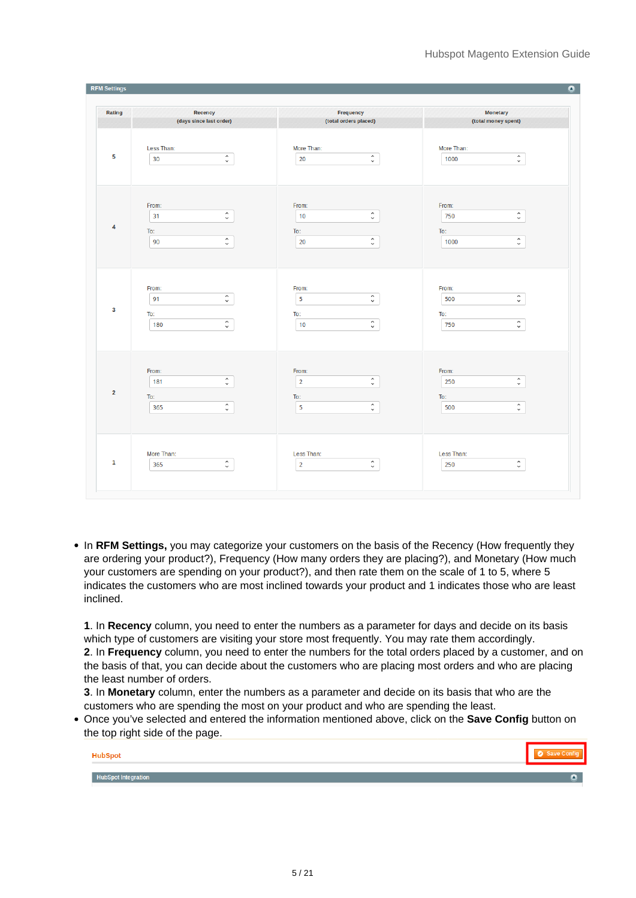| Rating                                                | Recency                                              | <b>Frequency</b>                                                      | <b>Monetary</b>                                               |
|-------------------------------------------------------|------------------------------------------------------|-----------------------------------------------------------------------|---------------------------------------------------------------|
|                                                       | (days since last order)                              | (total orders placed)                                                 | (total money spent)                                           |
| Less Than:                                            | $\hat{\cdot}$                                        | More Than:                                                            | More Than:                                                    |
| 5                                                     |                                                      | $\hat{\cdot}$                                                         | $\hat{\cdot}$                                                 |
| 30                                                    |                                                      | 20                                                                    | 1000                                                          |
| From:<br>31<br>4<br>To:<br>90                         | $\hat{\cdot}$<br>$\hat{\phantom{a}}$<br>$\checkmark$ | From:<br>$\hat{\cdot}$<br>10<br>To:<br>$\hat{\cdot}$<br>20            | From:<br>$\hat{\cdot}$<br>750<br>To:<br>$\hat{\cdot}$<br>1000 |
| From:<br>91<br>3<br>To:<br>180                        | $\hat{\cdot}$<br>$\hat{\cdot}$                       | From:<br>$\hat{\cdot}$<br>5<br>To:<br>$\hat{\cdot}$<br>10             | From:<br>$\hat{\cdot}$<br>500<br>To:<br>$\hat{\cdot}$<br>750  |
| From:<br>181<br>$\overline{\mathbf{2}}$<br>To:<br>365 | $\hat{\cdot}$<br>$\hat{\Box}$                        | From:<br>$\hat{\cdot}$<br>$\overline{2}$<br>To:<br>$\hat{\cdot}$<br>5 | From:<br>$\hat{\cdot}$<br>250<br>To:<br>$\hat{\cdot}$<br>500  |
| More Than:                                            | $\hat{\cdot}$                                        | Less Than:                                                            | Less Than:                                                    |
| 1                                                     |                                                      | $\hat{\cdot}$                                                         | $\hat{\cdot}$                                                 |
| 365                                                   |                                                      | $\overline{2}$                                                        | 250                                                           |

• In RFM Settings, you may categorize your customers on the basis of the Recency (How frequently they are ordering your product?), Frequency (How many orders they are placing?), and Monetary (How much your customers are spending on your product?), and then rate them on the scale of 1 to 5, where 5 indicates the customers who are most inclined towards your product and 1 indicates those who are least inclined.

**1**. In **Recency** column, you need to enter the numbers as a parameter for days and decide on its basis which type of customers are visiting your store most frequently. You may rate them accordingly. **2**. In **Frequency** column, you need to enter the numbers for the total orders placed by a customer, and on the basis of that, you can decide about the customers who are placing most orders and who are placing the least number of orders.

**3**. In **Monetary** column, enter the numbers as a parameter and decide on its basis that who are the customers who are spending the most on your product and who are spending the least.

Once you've selected and entered the information mentioned above, click on the **Save Config** button on the top right side of the page.

| HubSpot                    |  |
|----------------------------|--|
| <b>HubSpot Integration</b> |  |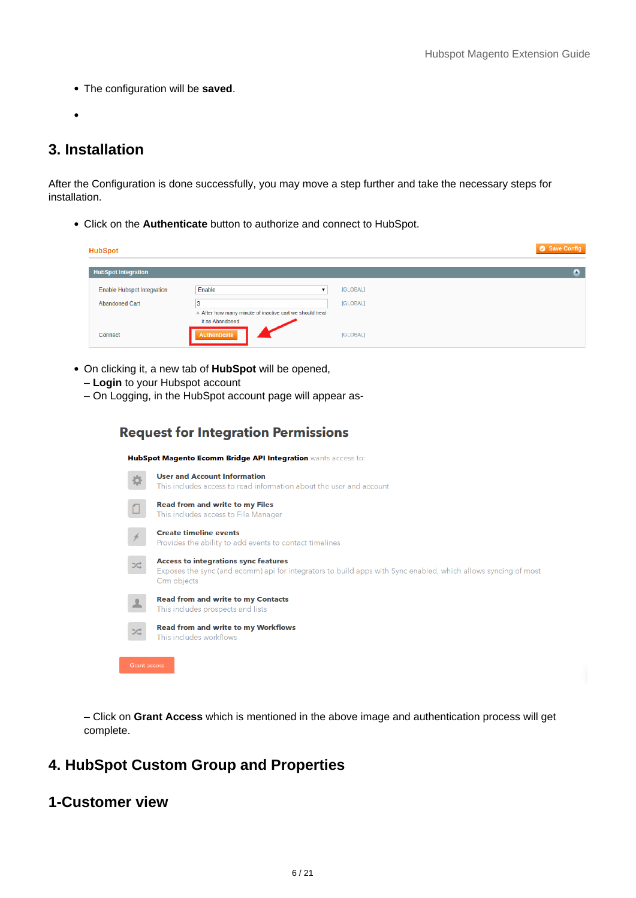<span id="page-5-0"></span>The configuration will be **saved**.

# **3. Installation**

After the Configuration is done successfully, you may move a step further and take the necessary steps for installation.

Click on the **Authenticate** button to authorize and connect to HubSpot.

| <b>HubSpot</b>                    |                                                                           |          | Save Config |
|-----------------------------------|---------------------------------------------------------------------------|----------|-------------|
| <b>HubSpot Integration</b>        |                                                                           |          | ×           |
| <b>Enable Hubspot Integration</b> | Enable                                                                    | [GLOBAL] |             |
| <b>Abandoned Cart</b>             | 13                                                                        | [GLOBAL] |             |
|                                   | After how many minute of inactive cart we should treat<br>it as Abandoned |          |             |
| Connect                           | Authenticate                                                              | [GLOBAL] |             |

- On clicking it, a new tab of **HubSpot** will be opened,
	- **Login** to your Hubspot account
	- On Logging, in the HubSpot account page will appear as-

**Request for Integration Permissions** 

|                     | HubSpot Magento Ecomm Bridge API Integration wants access to:                                                                                                                |
|---------------------|------------------------------------------------------------------------------------------------------------------------------------------------------------------------------|
|                     | <b>User and Account Information</b><br>This includes access to read information about the user and account                                                                   |
|                     | <b>Read from and write to my Files</b><br>This includes access to File Manager                                                                                               |
|                     | <b>Create timeline events</b><br>Provides the ability to add events to contact timelines                                                                                     |
| ンベ                  | <b>Access to integrations sync features</b><br>Exposes the sync (and ecomm) api for integrators to build apps with Sync enabled, which allows syncing of most<br>Crm objects |
|                     | <b>Read from and write to my Contacts</b><br>This includes prospects and lists                                                                                               |
| ンご                  | <b>Read from and write to my Workflows</b><br>This includes workflows                                                                                                        |
| <b>Grant access</b> |                                                                                                                                                                              |

– Click on **Grant Access** which is mentioned in the above image and authentication process will get complete.

# **4. HubSpot Custom Group and Properties**

# **1-Customer view**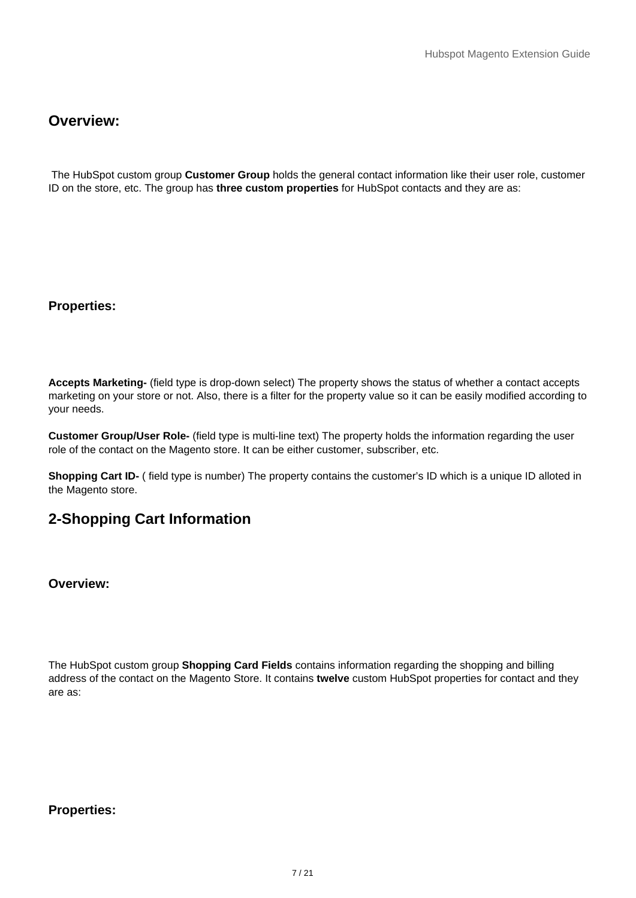# **Overview:**

 The HubSpot custom group **Customer Group** holds the general contact information like their user role, customer ID on the store, etc. The group has **three custom properties** for HubSpot contacts and they are as:

# **Properties:**

**Accepts Marketing-** (field type is drop-down select) The property shows the status of whether a contact accepts marketing on your store or not. Also, there is a filter for the property value so it can be easily modified according to your needs.

**Customer Group/User Role-** (field type is multi-line text) The property holds the information regarding the user role of the contact on the Magento store. It can be either customer, subscriber, etc.

**Shopping Cart ID-** ( field type is number) The property contains the customer's ID which is a unique ID alloted in the Magento store.

# **2-Shopping Cart Information**

**Overview:**

The HubSpot custom group **Shopping Card Fields** contains information regarding the shopping and billing address of the contact on the Magento Store. It contains **twelve** custom HubSpot properties for contact and they are as:

**Properties:**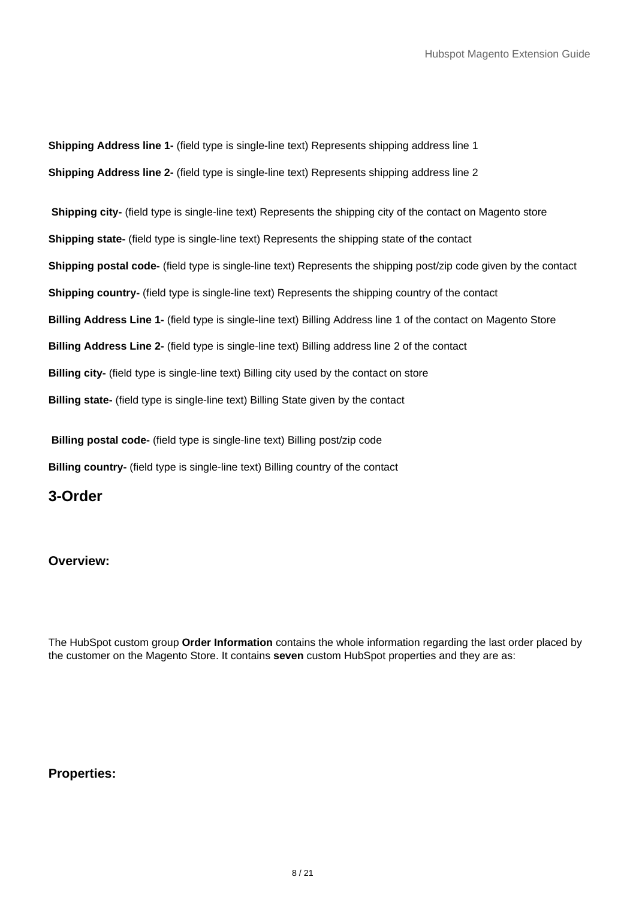**Shipping Address line 1-** (field type is single-line text) Represents shipping address line 1 **Shipping Address line 2-** (field type is single-line text) Represents shipping address line 2

**Shipping city-** (field type is single-line text) Represents the shipping city of the contact on Magento store **Shipping state-** (field type is single-line text) Represents the shipping state of the contact **Shipping postal code-** (field type is single-line text) Represents the shipping post/zip code given by the contact **Shipping country-** (field type is single-line text) Represents the shipping country of the contact **Billing Address Line 1-** (field type is single-line text) Billing Address line 1 of the contact on Magento Store **Billing Address Line 2-** (field type is single-line text) Billing address line 2 of the contact **Billing city-** (field type is single-line text) Billing city used by the contact on store **Billing state-** (field type is single-line text) Billing State given by the contact

**Billing postal code-** (field type is single-line text) Billing post/zip code **Billing country-** (field type is single-line text) Billing country of the contact

**3-Order**

# **Overview:**

The HubSpot custom group **Order Information** contains the whole information regarding the last order placed by the customer on the Magento Store. It contains **seven** custom HubSpot properties and they are as:

## **Properties:**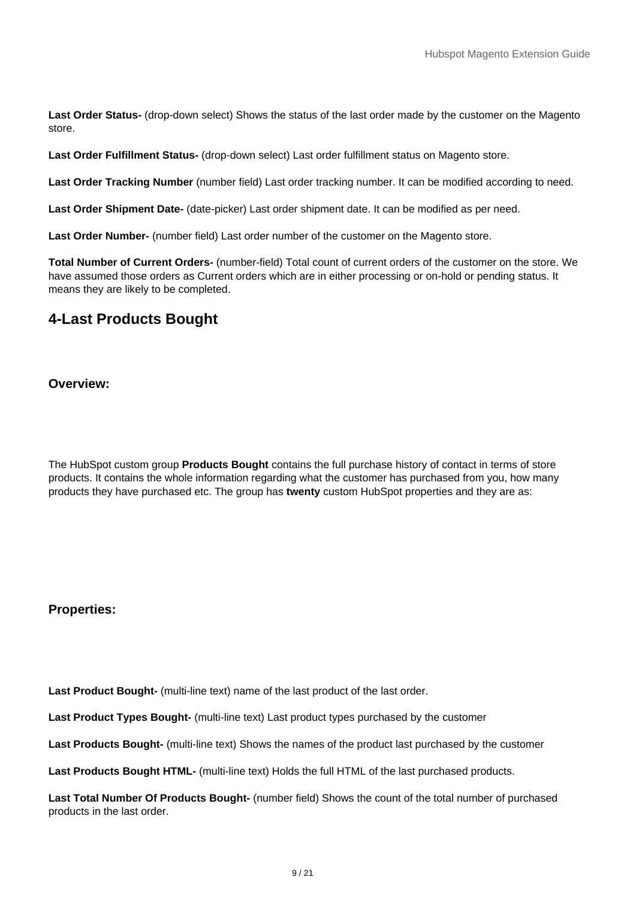**Last Order Status-** (drop-down select) Shows the status of the last order made by the customer on the Magento store.

**Last Order Fulfillment Status-** (drop-down select) Last order fulfillment status on Magento store.

**Last Order Tracking Number** (number field) Last order tracking number. It can be modified according to need.

**Last Order Shipment Date-** (date-picker) Last order shipment date. It can be modified as per need.

**Last Order Number-** (number field) Last order number of the customer on the Magento store.

**Total Number of Current Orders-** (number-field) Total count of current orders of the customer on the store. We have assumed those orders as Current orders which are in either processing or on-hold or pending status. It means they are likely to be completed.

# **4-Last Products Bought**

**Overview:**

The HubSpot custom group **Products Bought** contains the full purchase history of contact in terms of store products. It contains the whole information regarding what the customer has purchased from you, how many products they have purchased etc. The group has **twenty** custom HubSpot properties and they are as:

## **Properties:**

**Last Product Bought-** (multi-line text) name of the last product of the last order.

Last Product Types Bought- (multi-line text) Last product types purchased by the customer

**Last Products Bought-** (multi-line text) Shows the names of the product last purchased by the customer

**Last Products Bought HTML-** (multi-line text) Holds the full HTML of the last purchased products.

**Last Total Number Of Products Bought-** (number field) Shows the count of the total number of purchased products in the last order.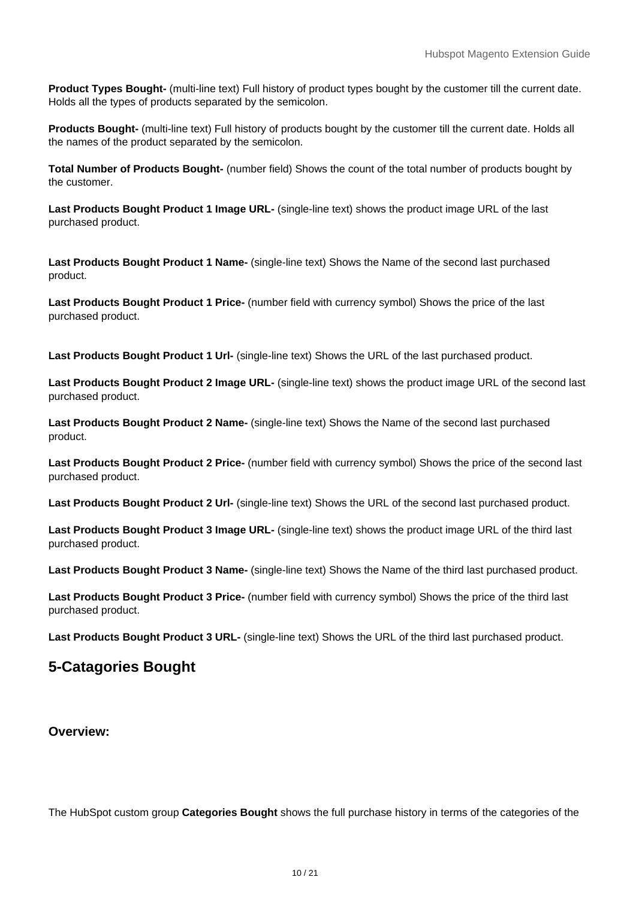**Product Types Bought-** (multi-line text) Full history of product types bought by the customer till the current date. Holds all the types of products separated by the semicolon.

**Products Bought-** (multi-line text) Full history of products bought by the customer till the current date. Holds all the names of the product separated by the semicolon.

**Total Number of Products Bought-** (number field) Shows the count of the total number of products bought by the customer.

**Last Products Bought Product 1 Image URL-** (single-line text) shows the product image URL of the last purchased product.

**Last Products Bought Product 1 Name-** (single-line text) Shows the Name of the second last purchased product.

**Last Products Bought Product 1 Price-** (number field with currency symbol) Shows the price of the last purchased product.

**Last Products Bought Product 1 Url-** (single-line text) Shows the URL of the last purchased product.

**Last Products Bought Product 2 Image URL-** (single-line text) shows the product image URL of the second last purchased product.

**Last Products Bought Product 2 Name-** (single-line text) Shows the Name of the second last purchased product.

**Last Products Bought Product 2 Price-** (number field with currency symbol) Shows the price of the second last purchased product.

**Last Products Bought Product 2 Url-** (single-line text) Shows the URL of the second last purchased product.

**Last Products Bought Product 3 Image URL-** (single-line text) shows the product image URL of the third last purchased product.

**Last Products Bought Product 3 Name-** (single-line text) Shows the Name of the third last purchased product.

**Last Products Bought Product 3 Price-** (number field with currency symbol) Shows the price of the third last purchased product.

**Last Products Bought Product 3 URL-** (single-line text) Shows the URL of the third last purchased product.

# **5-Catagories Bought**

## **Overview:**

The HubSpot custom group **Categories Bought** shows the full purchase history in terms of the categories of the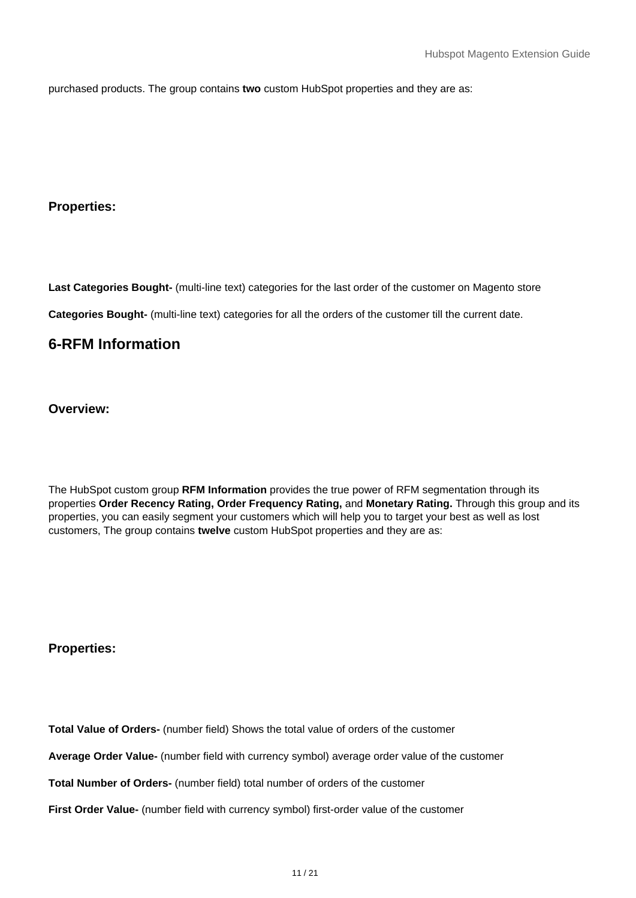purchased products. The group contains **two** custom HubSpot properties and they are as:

# **Properties:**

**Last Categories Bought-** (multi-line text) categories for the last order of the customer on Magento store

**Categories Bought-** (multi-line text) categories for all the orders of the customer till the current date.

# **6-RFM Information**

**Overview:**

The HubSpot custom group **RFM Information** provides the true power of RFM segmentation through its properties **Order Recency Rating, Order Frequency Rating,** and **Monetary Rating.** Through this group and its properties, you can easily segment your customers which will help you to target your best as well as lost customers, The group contains **twelve** custom HubSpot properties and they are as:

## **Properties:**

**Total Value of Orders-** (number field) Shows the total value of orders of the customer

**Average Order Value-** (number field with currency symbol) average order value of the customer

**Total Number of Orders-** (number field) total number of orders of the customer

First Order Value- (number field with currency symbol) first-order value of the customer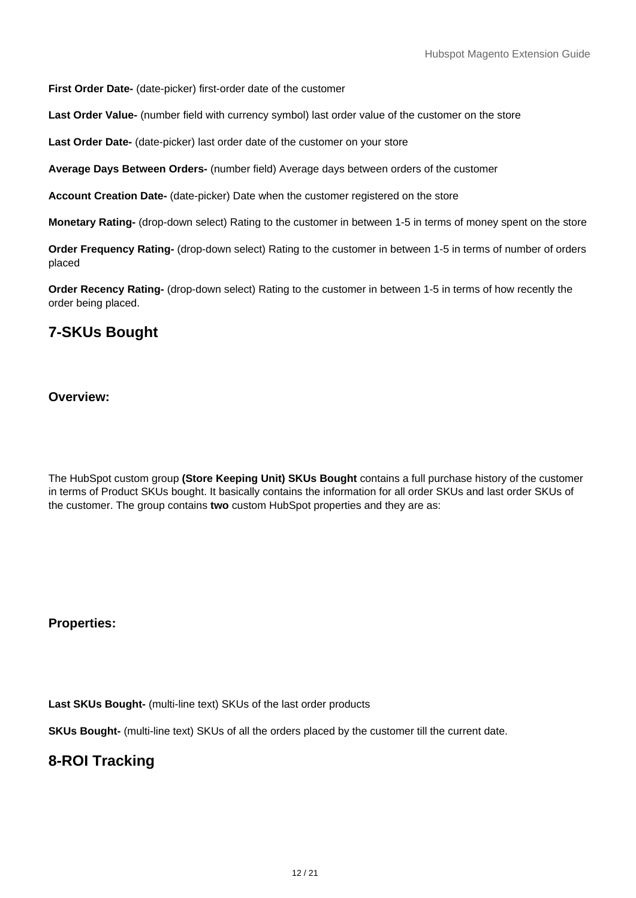**First Order Date-** (date-picker) first-order date of the customer

Last Order Value- (number field with currency symbol) last order value of the customer on the store

Last Order Date- (date-picker) last order date of the customer on your store

**Average Days Between Orders-** (number field) Average days between orders of the customer

**Account Creation Date-** (date-picker) Date when the customer registered on the store

**Monetary Rating-** (drop-down select) Rating to the customer in between 1-5 in terms of money spent on the store

**Order Frequency Rating-** (drop-down select) Rating to the customer in between 1-5 in terms of number of orders placed

**Order Recency Rating-** (drop-down select) Rating to the customer in between 1-5 in terms of how recently the order being placed.

# **7-SKUs Bought**

## **Overview:**

The HubSpot custom group **(Store Keeping Unit) SKUs Bought** contains a full purchase history of the customer in terms of Product SKUs bought. It basically contains the information for all order SKUs and last order SKUs of the customer. The group contains **two** custom HubSpot properties and they are as:

## **Properties:**

Last SKUs Bought- (multi-line text) SKUs of the last order products

**SKUs Bought-** (multi-line text) SKUs of all the orders placed by the customer till the current date.

# **8-ROI Tracking**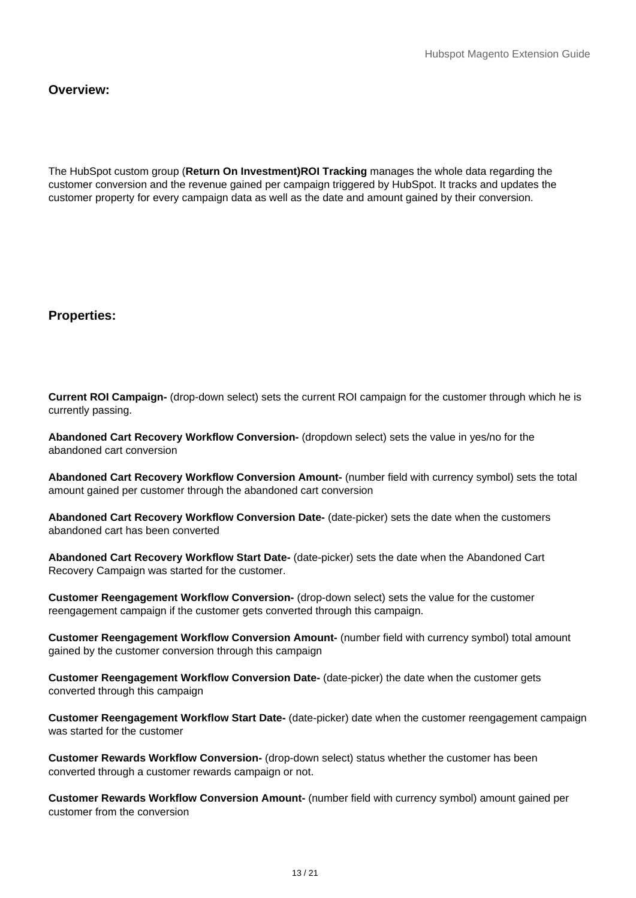# **Overview:**

The HubSpot custom group (**Return On Investment)ROI Tracking** manages the whole data regarding the customer conversion and the revenue gained per campaign triggered by HubSpot. It tracks and updates the customer property for every campaign data as well as the date and amount gained by their conversion.

# **Properties:**

**Current ROI Campaign-** (drop-down select) sets the current ROI campaign for the customer through which he is currently passing.

**Abandoned Cart Recovery Workflow Conversion-** (dropdown select) sets the value in yes/no for the abandoned cart conversion

**Abandoned Cart Recovery Workflow Conversion Amount-** (number field with currency symbol) sets the total amount gained per customer through the abandoned cart conversion

**Abandoned Cart Recovery Workflow Conversion Date-** (date-picker) sets the date when the customers abandoned cart has been converted

**Abandoned Cart Recovery Workflow Start Date-** (date-picker) sets the date when the Abandoned Cart Recovery Campaign was started for the customer.

**Customer Reengagement Workflow Conversion-** (drop-down select) sets the value for the customer reengagement campaign if the customer gets converted through this campaign.

**Customer Reengagement Workflow Conversion Amount-** (number field with currency symbol) total amount gained by the customer conversion through this campaign

**Customer Reengagement Workflow Conversion Date-** (date-picker) the date when the customer gets converted through this campaign

**Customer Reengagement Workflow Start Date-** (date-picker) date when the customer reengagement campaign was started for the customer

**Customer Rewards Workflow Conversion-** (drop-down select) status whether the customer has been converted through a customer rewards campaign or not.

**Customer Rewards Workflow Conversion Amount-** (number field with currency symbol) amount gained per customer from the conversion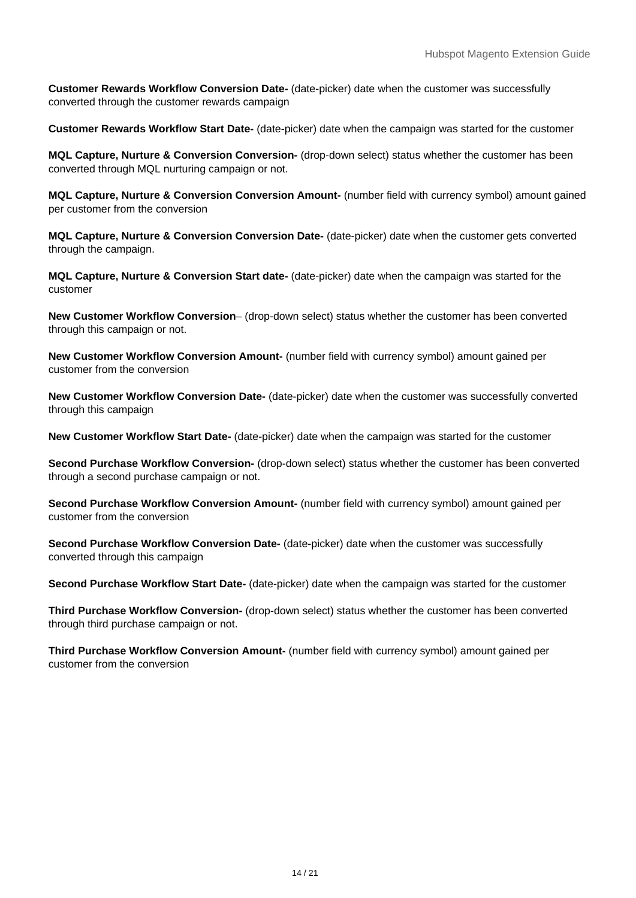**Customer Rewards Workflow Conversion Date-** (date-picker) date when the customer was successfully converted through the customer rewards campaign

**Customer Rewards Workflow Start Date-** (date-picker) date when the campaign was started for the customer

**MQL Capture, Nurture & Conversion Conversion-** (drop-down select) status whether the customer has been converted through MQL nurturing campaign or not.

**MQL Capture, Nurture & Conversion Conversion Amount-** (number field with currency symbol) amount gained per customer from the conversion

**MQL Capture, Nurture & Conversion Conversion Date-** (date-picker) date when the customer gets converted through the campaign.

**MQL Capture, Nurture & Conversion Start date-** (date-picker) date when the campaign was started for the customer

**New Customer Workflow Conversion**– (drop-down select) status whether the customer has been converted through this campaign or not.

**New Customer Workflow Conversion Amount-** (number field with currency symbol) amount gained per customer from the conversion

**New Customer Workflow Conversion Date-** (date-picker) date when the customer was successfully converted through this campaign

**New Customer Workflow Start Date-** (date-picker) date when the campaign was started for the customer

**Second Purchase Workflow Conversion-** (drop-down select) status whether the customer has been converted through a second purchase campaign or not.

**Second Purchase Workflow Conversion Amount-** (number field with currency symbol) amount gained per customer from the conversion

**Second Purchase Workflow Conversion Date-** (date-picker) date when the customer was successfully converted through this campaign

**Second Purchase Workflow Start Date-** (date-picker) date when the campaign was started for the customer

**Third Purchase Workflow Conversion-** (drop-down select) status whether the customer has been converted through third purchase campaign or not.

**Third Purchase Workflow Conversion Amount-** (number field with currency symbol) amount gained per customer from the conversion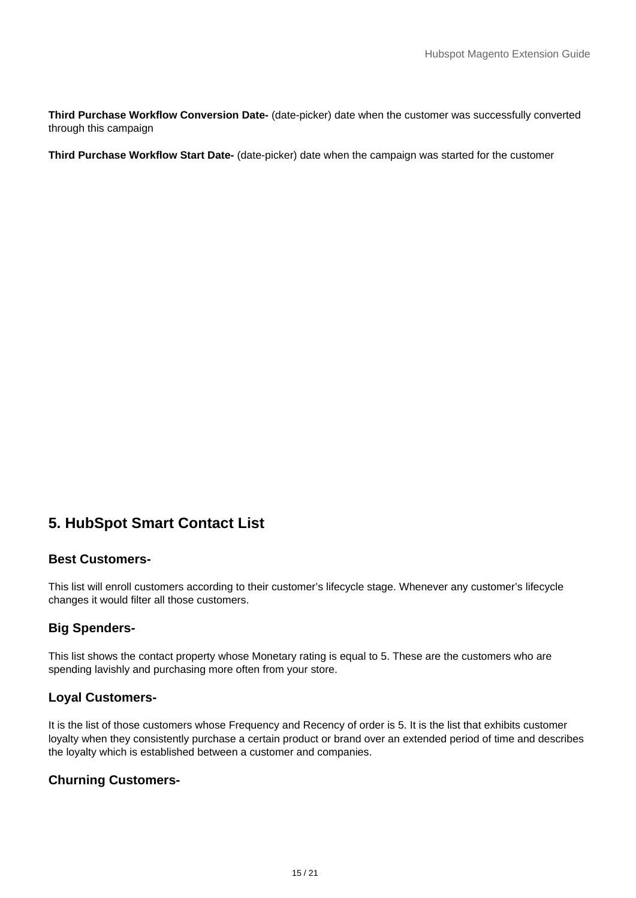<span id="page-14-0"></span>**Third Purchase Workflow Conversion Date-** (date-picker) date when the customer was successfully converted through this campaign

**Third Purchase Workflow Start Date-** (date-picker) date when the campaign was started for the customer

# **5. HubSpot Smart Contact List**

# **Best Customers-**

This list will enroll customers according to their customer's lifecycle stage. Whenever any customer's lifecycle changes it would filter all those customers.

# **Big Spenders-**

This list shows the contact property whose Monetary rating is equal to 5. These are the customers who are spending lavishly and purchasing more often from your store.

# **Loyal Customers-**

It is the list of those customers whose Frequency and Recency of order is 5. It is the list that exhibits customer loyalty when they consistently purchase a certain product or brand over an extended period of time and describes the loyalty which is established between a customer and companies.

# **Churning Customers-**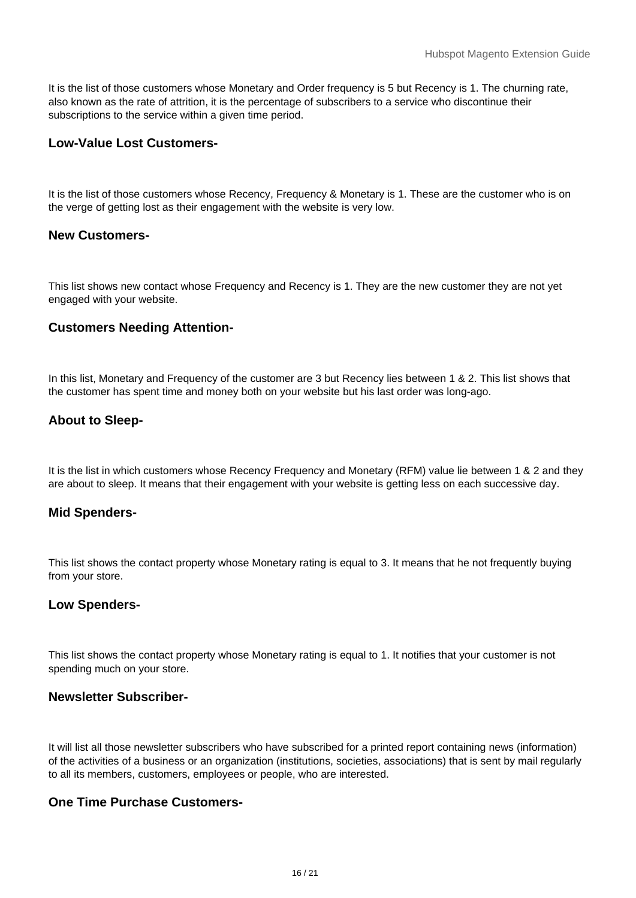It is the list of those customers whose Monetary and Order frequency is 5 but Recency is 1. The churning rate, also known as the rate of attrition, it is the percentage of subscribers to a service who discontinue their subscriptions to the service within a given time period.

# **Low-Value Lost Customers-**

It is the list of those customers whose Recency, Frequency & Monetary is 1. These are the customer who is on the verge of getting lost as their engagement with the website is very low.

## **New Customers-**

This list shows new contact whose Frequency and Recency is 1. They are the new customer they are not yet engaged with your website.

# **Customers Needing Attention-**

In this list, Monetary and Frequency of the customer are 3 but Recency lies between 1 & 2. This list shows that the customer has spent time and money both on your website but his last order was long-ago.

# **About to Sleep-**

It is the list in which customers whose Recency Frequency and Monetary (RFM) value lie between 1 & 2 and they are about to sleep. It means that their engagement with your website is getting less on each successive day.

## **Mid Spenders-**

This list shows the contact property whose Monetary rating is equal to 3. It means that he not frequently buying from your store.

## **Low Spenders-**

This list shows the contact property whose Monetary rating is equal to 1. It notifies that your customer is not spending much on your store.

# **Newsletter Subscriber-**

It will list all those newsletter subscribers who have subscribed for a printed report containing news (information) of the activities of a business or an organization (institutions, societies, associations) that is sent by mail regularly to all its members, customers, employees or people, who are interested.

# **One Time Purchase Customers-**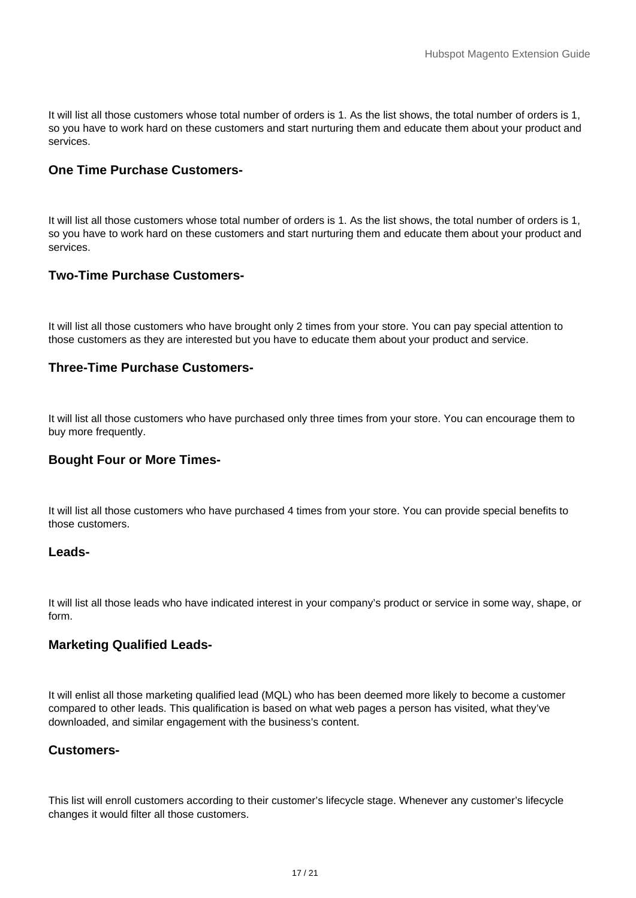It will list all those customers whose total number of orders is 1. As the list shows, the total number of orders is 1, so you have to work hard on these customers and start nurturing them and educate them about your product and services.

## **One Time Purchase Customers-**

It will list all those customers whose total number of orders is 1. As the list shows, the total number of orders is 1, so you have to work hard on these customers and start nurturing them and educate them about your product and services.

# **Two-Time Purchase Customers-**

It will list all those customers who have brought only 2 times from your store. You can pay special attention to those customers as they are interested but you have to educate them about your product and service.

## **Three-Time Purchase Customers-**

It will list all those customers who have purchased only three times from your store. You can encourage them to buy more frequently.

## **Bought Four or More Times-**

It will list all those customers who have purchased 4 times from your store. You can provide special benefits to those customers.

#### **Leads-**

It will list all those leads who have indicated interest in your company's product or service in some way, shape, or form.

## **Marketing Qualified Leads-**

It will enlist all those marketing qualified lead (MQL) who has been deemed more likely to become a customer compared to other leads. This qualification is based on what web pages a person has visited, what they've downloaded, and similar engagement with the business's content.

## **Customers-**

This list will enroll customers according to their customer's lifecycle stage. Whenever any customer's lifecycle changes it would filter all those customers.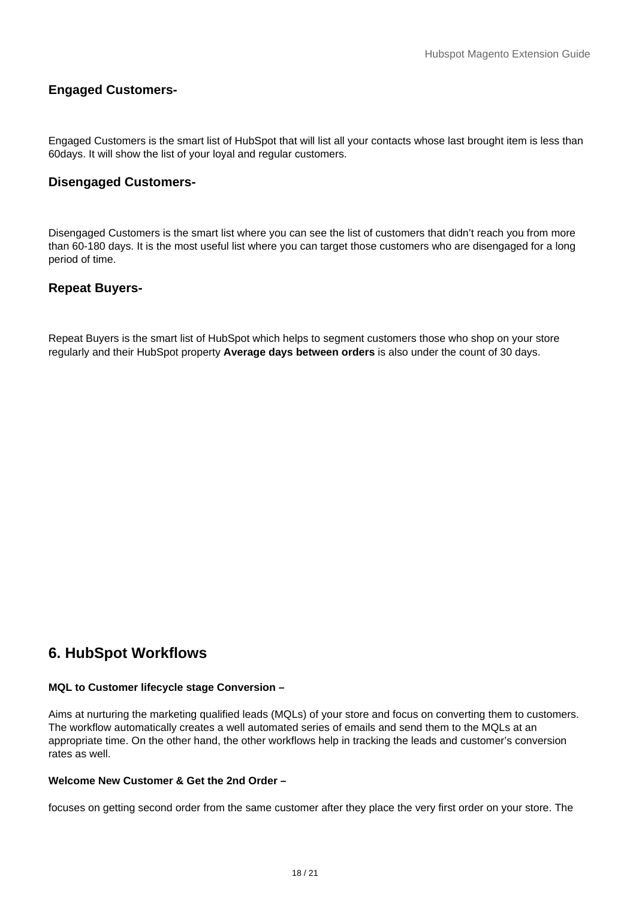# <span id="page-17-0"></span>**Engaged Customers-**

Engaged Customers is the smart list of HubSpot that will list all your contacts whose last brought item is less than 60days. It will show the list of your loyal and regular customers.

# **Disengaged Customers-**

Disengaged Customers is the smart list where you can see the list of customers that didn't reach you from more than 60-180 days. It is the most useful list where you can target those customers who are disengaged for a long period of time.

# **Repeat Buyers-**

Repeat Buyers is the smart list of HubSpot which helps to segment customers those who shop on your store regularly and their HubSpot property **Average days between orders** is also under the count of 30 days.

# **6. HubSpot Workflows**

#### **MQL to Customer lifecycle stage Conversion –**

Aims at nurturing the marketing qualified leads (MQLs) of your store and focus on converting them to customers. The workflow automatically creates a well automated series of emails and send them to the MQLs at an appropriate time. On the other hand, the other workflows help in tracking the leads and customer's conversion rates as well.

#### **Welcome New Customer & Get the 2nd Order –**

focuses on getting second order from the same customer after they place the very first order on your store. The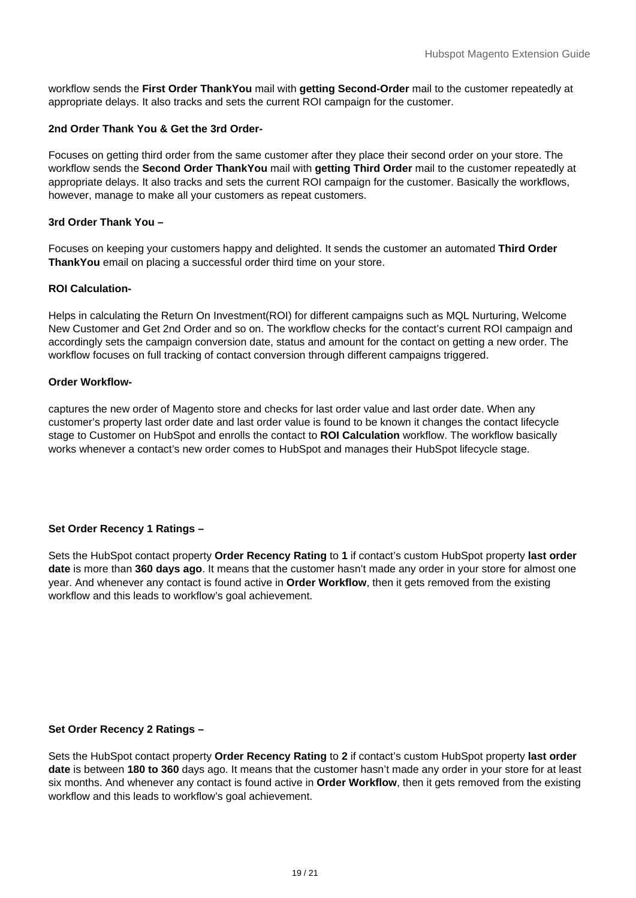workflow sends the **First Order ThankYou** mail with **getting Second-Order** mail to the customer repeatedly at appropriate delays. It also tracks and sets the current ROI campaign for the customer.

#### **2nd Order Thank You & Get the 3rd Order-**

Focuses on getting third order from the same customer after they place their second order on your store. The workflow sends the **Second Order ThankYou** mail with **getting Third Order** mail to the customer repeatedly at appropriate delays. It also tracks and sets the current ROI campaign for the customer. Basically the workflows, however, manage to make all your customers as repeat customers.

#### **3rd Order Thank You –**

Focuses on keeping your customers happy and delighted. It sends the customer an automated **Third Order ThankYou** email on placing a successful order third time on your store.

#### **ROI Calculation-**

Helps in calculating the Return On Investment(ROI) for different campaigns such as MQL Nurturing, Welcome New Customer and Get 2nd Order and so on. The workflow checks for the contact's current ROI campaign and accordingly sets the campaign conversion date, status and amount for the contact on getting a new order. The workflow focuses on full tracking of contact conversion through different campaigns triggered.

#### **Order Workflow-**

captures the new order of Magento store and checks for last order value and last order date. When any customer's property last order date and last order value is found to be known it changes the contact lifecycle stage to Customer on HubSpot and enrolls the contact to **ROI Calculation** workflow. The workflow basically works whenever a contact's new order comes to HubSpot and manages their HubSpot lifecycle stage.

## **Set Order Recency 1 Ratings –**

Sets the HubSpot contact property **Order Recency Rating** to **1** if contact's custom HubSpot property **last order date** is more than **360 days ago**. It means that the customer hasn't made any order in your store for almost one year. And whenever any contact is found active in **Order Workflow**, then it gets removed from the existing workflow and this leads to workflow's goal achievement.

#### **Set Order Recency 2 Ratings –**

Sets the HubSpot contact property **Order Recency Rating** to **2** if contact's custom HubSpot property **last order date** is between **180 to 360** days ago. It means that the customer hasn't made any order in your store for at least six months. And whenever any contact is found active in **Order Workflow**, then it gets removed from the existing workflow and this leads to workflow's goal achievement.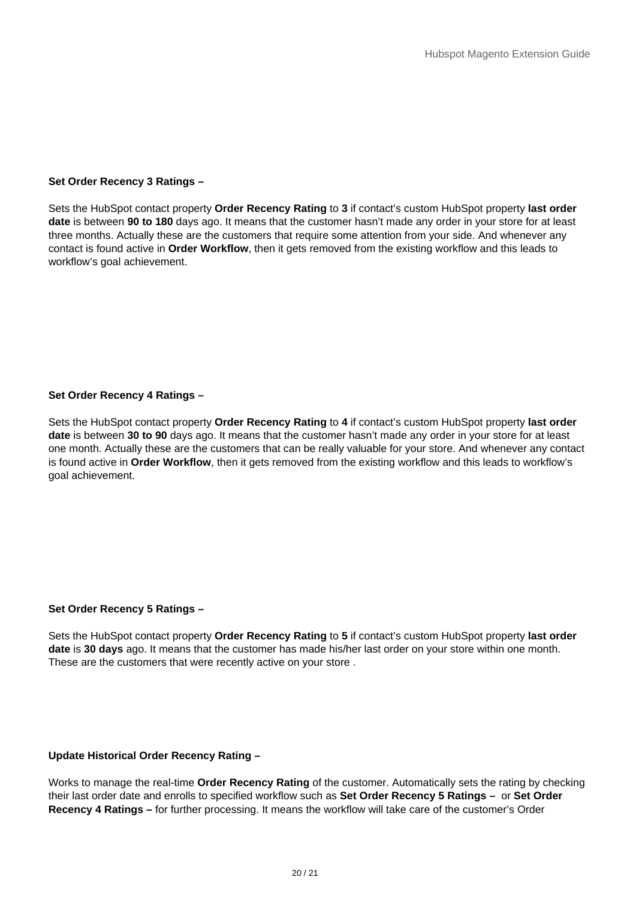#### **Set Order Recency 3 Ratings –**

Sets the HubSpot contact property **Order Recency Rating** to **3** if contact's custom HubSpot property **last order date** is between **90 to 180** days ago. It means that the customer hasn't made any order in your store for at least three months. Actually these are the customers that require some attention from your side. And whenever any contact is found active in **Order Workflow**, then it gets removed from the existing workflow and this leads to workflow's goal achievement.

#### **Set Order Recency 4 Ratings –**

Sets the HubSpot contact property **Order Recency Rating** to **4** if contact's custom HubSpot property **last order date** is between **30 to 90** days ago. It means that the customer hasn't made any order in your store for at least one month. Actually these are the customers that can be really valuable for your store. And whenever any contact is found active in **Order Workflow**, then it gets removed from the existing workflow and this leads to workflow's goal achievement.

#### **Set Order Recency 5 Ratings –**

Sets the HubSpot contact property **Order Recency Rating** to **5** if contact's custom HubSpot property **last order date** is **30 days** ago. It means that the customer has made his/her last order on your store within one month. These are the customers that were recently active on your store .

#### **Update Historical Order Recency Rating –**

Works to manage the real-time **Order Recency Rating** of the customer. Automatically sets the rating by checking their last order date and enrolls to specified workflow such as **Set Order Recency 5 Ratings –** or **Set Order Recency 4 Ratings –** for further processing. It means the workflow will take care of the customer's Order